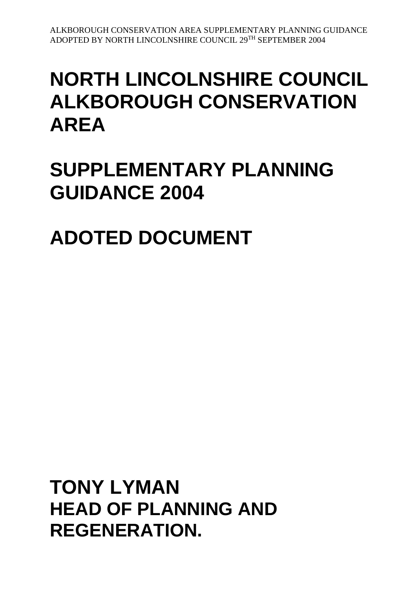# **NORTH LINCOLNSHIRE COUNCIL ALKBOROUGH CONSERVATION AREA**

# **SUPPLEMENTARY PLANNING GUIDANCE 2004**

**ADOTED DOCUMENT**

**TONY LYMAN HEAD OF PLANNING AND REGENERATION.**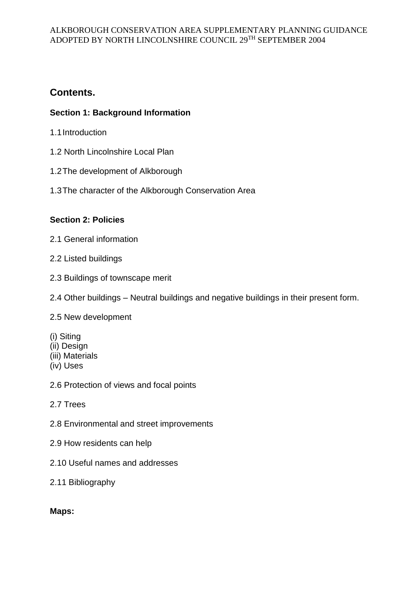# **Contents.**

# **Section 1: Background Information**

- 1.1Introduction
- 1.2 North Lincolnshire Local Plan
- 1.2The development of Alkborough
- 1.3The character of the Alkborough Conservation Area

# **Section 2: Policies**

- 2.1 General information
- 2.2 Listed buildings
- 2.3 Buildings of townscape merit
- 2.4 Other buildings Neutral buildings and negative buildings in their present form.

# 2.5 New development

- (i) Siting
- (ii) Design
- (iii) Materials
- (iv) Uses

2.6 Protection of views and focal points

- 2.7 Trees
- 2.8 Environmental and street improvements
- 2.9 How residents can help
- 2.10 Useful names and addresses
- 2.11 Bibliography

# **Maps:**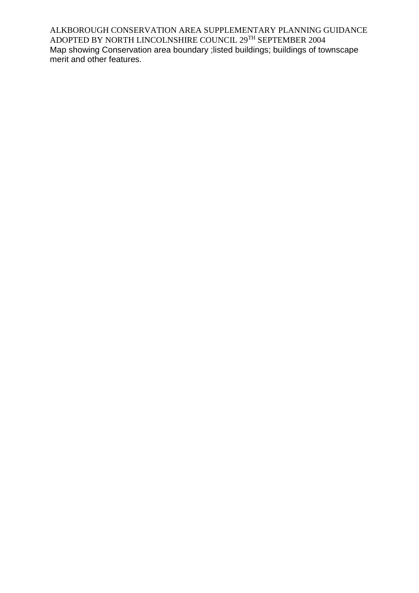ALKBOROUGH CONSERVATION AREA SUPPLEMENTARY PLANNING GUIDANCE ADOPTED BY NORTH LINCOLNSHIRE COUNCIL 29TH SEPTEMBER 2004 Map showing Conservation area boundary ;listed buildings; buildings of townscape merit and other features.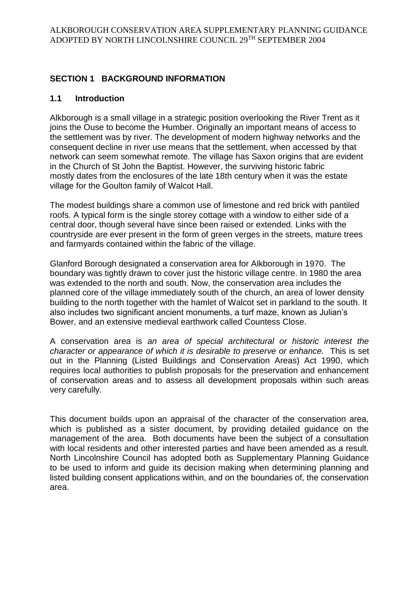# **SECTION 1 BACKGROUND INFORMATION**

# **1.1 Introduction**

Alkborough is a small village in a strategic position overlooking the River Trent as it joins the Ouse to become the Humber. Originally an important means of access to the settlement was by river. The development of modern highway networks and the consequent decline in river use means that the settlement, when accessed by that network can seem somewhat remote. The village has Saxon origins that are evident in the Church of St John the Baptist. However, the surviving historic fabric mostly dates from the enclosures of the late 18th century when it was the estate village for the Goulton family of Walcot Hall.

The modest buildings share a common use of limestone and red brick with pantiled roofs. A typical form is the single storey cottage with a window to either side of a central door, though several have since been raised or extended. Links with the countryside are ever present in the form of green verges in the streets, mature trees and farmyards contained within the fabric of the village.

Glanford Borough designated a conservation area for Alkborough in 1970. The boundary was tightly drawn to cover just the historic village centre. In 1980 the area was extended to the north and south. Now, the conservation area includes the planned core of the village immediately south of the church, an area of lower density building to the north together with the hamlet of Walcot set in parkland to the south. It also includes two significant ancient monuments, a turf maze, known as Julian's Bower, and an extensive medieval earthwork called Countess Close.

A conservation area is *an area of special architectural or historic interest the character or appearance of which it is desirable to preserve or enhance.* This is set out in the Planning (Listed Buildings and Conservation Areas) Act 1990, which requires local authorities to publish proposals for the preservation and enhancement of conservation areas and to assess all development proposals within such areas very carefully.

This document builds upon an appraisal of the character of the conservation area, which is published as a sister document, by providing detailed guidance on the management of the area. Both documents have been the subject of a consultation with local residents and other interested parties and have been amended as a result. North Lincolnshire Council has adopted both as Supplementary Planning Guidance to be used to inform and guide its decision making when determining planning and listed building consent applications within, and on the boundaries of, the conservation area.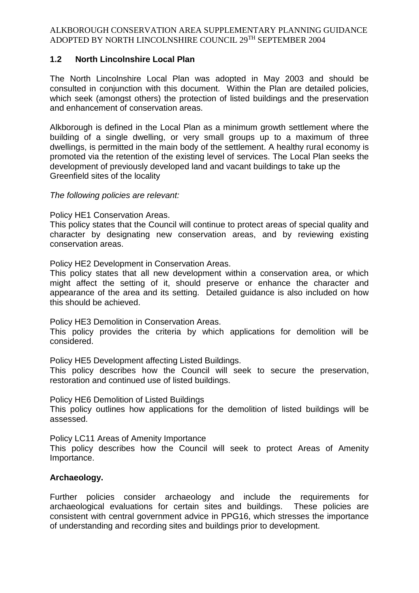# **1.2 North Lincolnshire Local Plan**

The North Lincolnshire Local Plan was adopted in May 2003 and should be consulted in conjunction with this document. Within the Plan are detailed policies, which seek (amongst others) the protection of listed buildings and the preservation and enhancement of conservation areas.

Alkborough is defined in the Local Plan as a minimum growth settlement where the building of a single dwelling, or very small groups up to a maximum of three dwellings, is permitted in the main body of the settlement. A healthy rural economy is promoted via the retention of the existing level of services. The Local Plan seeks the development of previously developed land and vacant buildings to take up the Greenfield sites of the locality

#### *The following policies are relevant:*

#### Policy HE1 Conservation Areas.

This policy states that the Council will continue to protect areas of special quality and character by designating new conservation areas, and by reviewing existing conservation areas.

Policy HE2 Development in Conservation Areas.

This policy states that all new development within a conservation area, or which might affect the setting of it, should preserve or enhance the character and appearance of the area and its setting. Detailed guidance is also included on how this should be achieved.

Policy HE3 Demolition in Conservation Areas.

This policy provides the criteria by which applications for demolition will be considered.

Policy HE5 Development affecting Listed Buildings.

This policy describes how the Council will seek to secure the preservation, restoration and continued use of listed buildings.

Policy HE6 Demolition of Listed Buildings

This policy outlines how applications for the demolition of listed buildings will be assessed.

Policy LC11 Areas of Amenity Importance

This policy describes how the Council will seek to protect Areas of Amenity Importance.

## **Archaeology.**

Further policies consider archaeology and include the requirements for archaeological evaluations for certain sites and buildings. These policies are consistent with central government advice in PPG16, which stresses the importance of understanding and recording sites and buildings prior to development.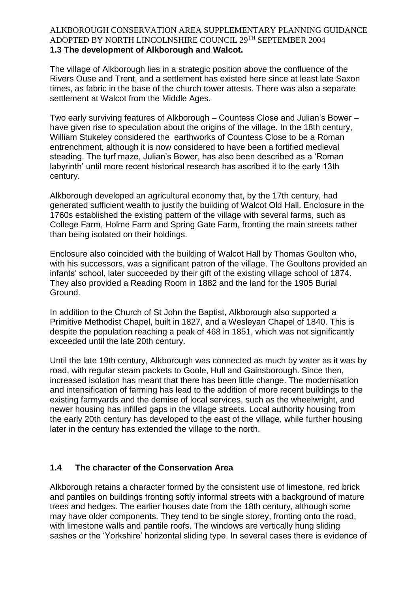### ALKBOROUGH CONSERVATION AREA SUPPLEMENTARY PLANNING GUIDANCE ADOPTED BY NORTH LINCOLNSHIRE COUNCIL 29TH SEPTEMBER 2004 **1.3 The development of Alkborough and Walcot.**

The village of Alkborough lies in a strategic position above the confluence of the Rivers Ouse and Trent, and a settlement has existed here since at least late Saxon times, as fabric in the base of the church tower attests. There was also a separate settlement at Walcot from the Middle Ages.

Two early surviving features of Alkborough – Countess Close and Julian's Bower – have given rise to speculation about the origins of the village. In the 18th century, William Stukeley considered the earthworks of Countess Close to be a Roman entrenchment, although it is now considered to have been a fortified medieval steading. The turf maze, Julian's Bower, has also been described as a 'Roman labyrinth' until more recent historical research has ascribed it to the early 13th century.

Alkborough developed an agricultural economy that, by the 17th century, had generated sufficient wealth to justify the building of Walcot Old Hall. Enclosure in the 1760s established the existing pattern of the village with several farms, such as College Farm, Holme Farm and Spring Gate Farm, fronting the main streets rather than being isolated on their holdings.

Enclosure also coincided with the building of Walcot Hall by Thomas Goulton who, with his successors, was a significant patron of the village. The Goultons provided an infants' school, later succeeded by their gift of the existing village school of 1874. They also provided a Reading Room in 1882 and the land for the 1905 Burial Ground.

In addition to the Church of St John the Baptist, Alkborough also supported a Primitive Methodist Chapel, built in 1827, and a Wesleyan Chapel of 1840. This is despite the population reaching a peak of 468 in 1851, which was not significantly exceeded until the late 20th century.

Until the late 19th century, Alkborough was connected as much by water as it was by road, with regular steam packets to Goole, Hull and Gainsborough. Since then, increased isolation has meant that there has been little change. The modernisation and intensification of farming has lead to the addition of more recent buildings to the existing farmyards and the demise of local services, such as the wheelwright, and newer housing has infilled gaps in the village streets. Local authority housing from the early 20th century has developed to the east of the village, while further housing later in the century has extended the village to the north.

# **1.4 The character of the Conservation Area**

Alkborough retains a character formed by the consistent use of limestone, red brick and pantiles on buildings fronting softly informal streets with a background of mature trees and hedges. The earlier houses date from the 18th century, although some may have older components. They tend to be single storey, fronting onto the road, with limestone walls and pantile roofs. The windows are vertically hung sliding sashes or the 'Yorkshire' horizontal sliding type. In several cases there is evidence of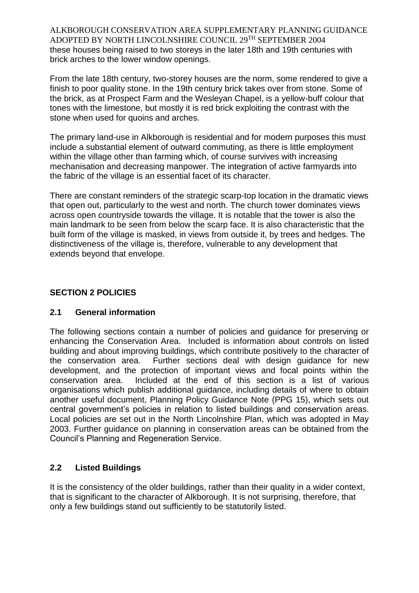ALKBOROUGH CONSERVATION AREA SUPPLEMENTARY PLANNING GUIDANCE ADOPTED BY NORTH LINCOLNSHIRE COUNCIL 29TH SEPTEMBER 2004 these houses being raised to two storeys in the later 18th and 19th centuries with brick arches to the lower window openings.

From the late 18th century, two-storey houses are the norm, some rendered to give a finish to poor quality stone. In the 19th century brick takes over from stone. Some of the brick, as at Prospect Farm and the Wesleyan Chapel, is a yellow-buff colour that tones with the limestone, but mostly it is red brick exploiting the contrast with the stone when used for quoins and arches.

The primary land-use in Alkborough is residential and for modern purposes this must include a substantial element of outward commuting, as there is little employment within the village other than farming which, of course survives with increasing mechanisation and decreasing manpower. The integration of active farmyards into the fabric of the village is an essential facet of its character.

There are constant reminders of the strategic scarp-top location in the dramatic views that open out, particularly to the west and north. The church tower dominates views across open countryside towards the village. It is notable that the tower is also the main landmark to be seen from below the scarp face. It is also characteristic that the built form of the village is masked, in views from outside it, by trees and hedges. The distinctiveness of the village is, therefore, vulnerable to any development that extends beyond that envelope.

# **SECTION 2 POLICIES**

# **2.1 General information**

The following sections contain a number of policies and guidance for preserving or enhancing the Conservation Area. Included is information about controls on listed building and about improving buildings, which contribute positively to the character of the conservation area. Further sections deal with design guidance for new development, and the protection of important views and focal points within the conservation area. Included at the end of this section is a list of various organisations which publish additional guidance, including details of where to obtain another useful document, Planning Policy Guidance Note (PPG 15), which sets out central government's policies in relation to listed buildings and conservation areas. Local policies are set out in the North Lincolnshire Plan, which was adopted in May 2003. Further guidance on planning in conservation areas can be obtained from the Council's Planning and Regeneration Service.

# **2.2 Listed Buildings**

It is the consistency of the older buildings, rather than their quality in a wider context, that is significant to the character of Alkborough. It is not surprising, therefore, that only a few buildings stand out sufficiently to be statutorily listed.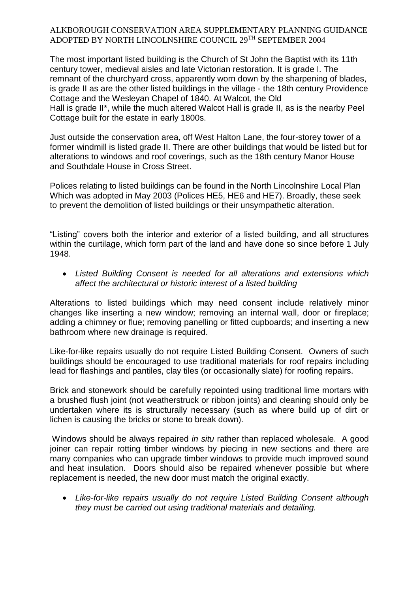The most important listed building is the Church of St John the Baptist with its 11th century tower, medieval aisles and late Victorian restoration. It is grade I. The remnant of the churchyard cross, apparently worn down by the sharpening of blades, is grade II as are the other listed buildings in the village - the 18th century Providence Cottage and the Wesleyan Chapel of 1840. At Walcot, the Old Hall is grade II\*, while the much altered Walcot Hall is grade II, as is the nearby Peel Cottage built for the estate in early 1800s.

Just outside the conservation area, off West Halton Lane, the four-storey tower of a former windmill is listed grade II. There are other buildings that would be listed but for alterations to windows and roof coverings, such as the 18th century Manor House and Southdale House in Cross Street.

Polices relating to listed buildings can be found in the North Lincolnshire Local Plan Which was adopted in May 2003 (Polices HE5, HE6 and HE7). Broadly, these seek to prevent the demolition of listed buildings or their unsympathetic alteration.

"Listing" covers both the interior and exterior of a listed building, and all structures within the curtilage, which form part of the land and have done so since before 1 July 1948.

 *Listed Building Consent is needed for all alterations and extensions which affect the architectural or historic interest of a listed building*

Alterations to listed buildings which may need consent include relatively minor changes like inserting a new window; removing an internal wall, door or fireplace; adding a chimney or flue; removing panelling or fitted cupboards; and inserting a new bathroom where new drainage is required.

Like-for-like repairs usually do not require Listed Building Consent. Owners of such buildings should be encouraged to use traditional materials for roof repairs including lead for flashings and pantiles, clay tiles (or occasionally slate) for roofing repairs.

Brick and stonework should be carefully repointed using traditional lime mortars with a brushed flush joint (not weatherstruck or ribbon joints) and cleaning should only be undertaken where its is structurally necessary (such as where build up of dirt or lichen is causing the bricks or stone to break down).

Windows should be always repaired *in situ* rather than replaced wholesale. A good joiner can repair rotting timber windows by piecing in new sections and there are many companies who can upgrade timber windows to provide much improved sound and heat insulation. Doors should also be repaired whenever possible but where replacement is needed, the new door must match the original exactly.

 *Like-for-like repairs usually do not require Listed Building Consent although they must be carried out using traditional materials and detailing.*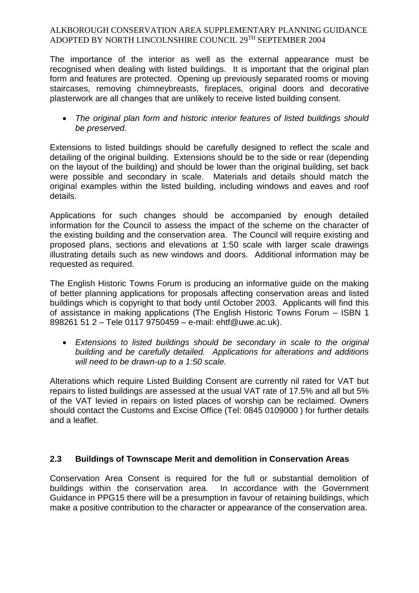The importance of the interior as well as the external appearance must be recognised when dealing with listed buildings. It is important that the original plan form and features are protected. Opening up previously separated rooms or moving staircases, removing chimneybreasts, fireplaces, original doors and decorative plasterwork are all changes that are unlikely to receive listed building consent.

 *The original plan form and historic interior features of listed buildings should be preserved.*

Extensions to listed buildings should be carefully designed to reflect the scale and detailing of the original building. Extensions should be to the side or rear (depending on the layout of the building) and should be lower than the original building, set back were possible and secondary in scale. Materials and details should match the original examples within the listed building, including windows and eaves and roof details.

Applications for such changes should be accompanied by enough detailed information for the Council to assess the impact of the scheme on the character of the existing building and the conservation area. The Council will require existing and proposed plans, sections and elevations at 1:50 scale with larger scale drawings illustrating details such as new windows and doors. Additional information may be requested as required.

The English Historic Towns Forum is producing an informative guide on the making of better planning applications for proposals affecting conservation areas and listed buildings which is copyright to that body until October 2003. Applicants will find this of assistance in making applications (The English Historic Towns Forum – ISBN 1 898261 51 2 – Tele 0117 9750459 – e-mail: ehtf@uwe.ac.uk).

 *Extensions to listed buildings should be secondary in scale to the original building and be carefully detailed. Applications for alterations and additions will need to be drawn-up to a 1:50 scale.*

Alterations which require Listed Building Consent are currently nil rated for VAT but repairs to listed buildings are assessed at the usual VAT rate of 17.5% and all but 5% of the VAT levied in repairs on listed places of worship can be reclaimed. Owners should contact the Customs and Excise Office (Tel: 0845 0109000 ) for further details and a leaflet.

# **2.3 Buildings of Townscape Merit and demolition in Conservation Areas**

Conservation Area Consent is required for the full or substantial demolition of buildings within the conservation area. In accordance with the Government Guidance in PPG15 there will be a presumption in favour of retaining buildings, which make a positive contribution to the character or appearance of the conservation area.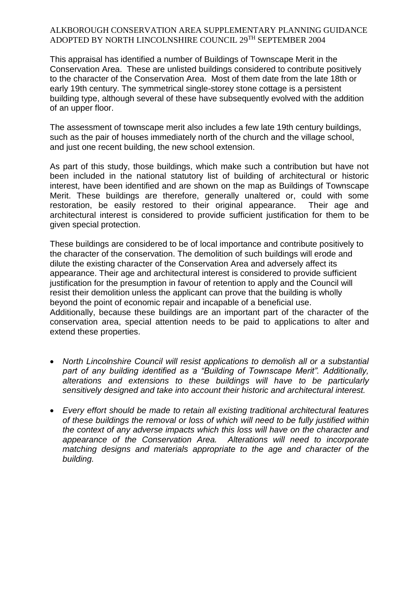This appraisal has identified a number of Buildings of Townscape Merit in the Conservation Area. These are unlisted buildings considered to contribute positively to the character of the Conservation Area. Most of them date from the late 18th or early 19th century. The symmetrical single-storey stone cottage is a persistent building type, although several of these have subsequently evolved with the addition of an upper floor.

The assessment of townscape merit also includes a few late 19th century buildings, such as the pair of houses immediately north of the church and the village school, and just one recent building, the new school extension.

As part of this study, those buildings, which make such a contribution but have not been included in the national statutory list of building of architectural or historic interest, have been identified and are shown on the map as Buildings of Townscape Merit. These buildings are therefore, generally unaltered or, could with some restoration, be easily restored to their original appearance. Their age and architectural interest is considered to provide sufficient justification for them to be given special protection.

These buildings are considered to be of local importance and contribute positively to the character of the conservation. The demolition of such buildings will erode and dilute the existing character of the Conservation Area and adversely affect its appearance. Their age and architectural interest is considered to provide sufficient justification for the presumption in favour of retention to apply and the Council will resist their demolition unless the applicant can prove that the building is wholly beyond the point of economic repair and incapable of a beneficial use. Additionally, because these buildings are an important part of the character of the conservation area, special attention needs to be paid to applications to alter and extend these properties.

- *North Lincolnshire Council will resist applications to demolish all or a substantial part of any building identified as a "Building of Townscape Merit". Additionally, alterations and extensions to these buildings will have to be particularly sensitively designed and take into account their historic and architectural interest.*
- *Every effort should be made to retain all existing traditional architectural features of these buildings the removal or loss of which will need to be fully justified within the context of any adverse impacts which this loss will have on the character and appearance of the Conservation Area. Alterations will need to incorporate matching designs and materials appropriate to the age and character of the building.*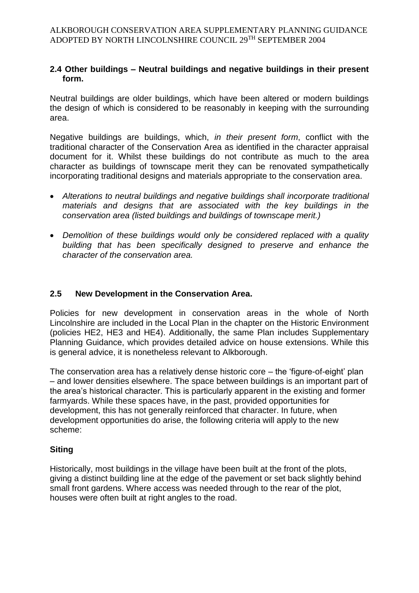# **2.4 Other buildings – Neutral buildings and negative buildings in their present form.**

Neutral buildings are older buildings, which have been altered or modern buildings the design of which is considered to be reasonably in keeping with the surrounding area.

Negative buildings are buildings, which, *in their present form*, conflict with the traditional character of the Conservation Area as identified in the character appraisal document for it. Whilst these buildings do not contribute as much to the area character as buildings of townscape merit they can be renovated sympathetically incorporating traditional designs and materials appropriate to the conservation area.

- *Alterations to neutral buildings and negative buildings shall incorporate traditional materials and designs that are associated with the key buildings in the conservation area (listed buildings and buildings of townscape merit.)*
- *Demolition of these buildings would only be considered replaced with a quality building that has been specifically designed to preserve and enhance the character of the conservation area.*

# **2.5 New Development in the Conservation Area.**

Policies for new development in conservation areas in the whole of North Lincolnshire are included in the Local Plan in the chapter on the Historic Environment (policies HE2, HE3 and HE4). Additionally, the same Plan includes Supplementary Planning Guidance, which provides detailed advice on house extensions. While this is general advice, it is nonetheless relevant to Alkborough.

The conservation area has a relatively dense historic core – the 'figure-of-eight' plan – and lower densities elsewhere. The space between buildings is an important part of the area's historical character. This is particularly apparent in the existing and former farmyards. While these spaces have, in the past, provided opportunities for development, this has not generally reinforced that character. In future, when development opportunities do arise, the following criteria will apply to the new scheme:

## **Siting**

Historically, most buildings in the village have been built at the front of the plots, giving a distinct building line at the edge of the pavement or set back slightly behind small front gardens. Where access was needed through to the rear of the plot, houses were often built at right angles to the road.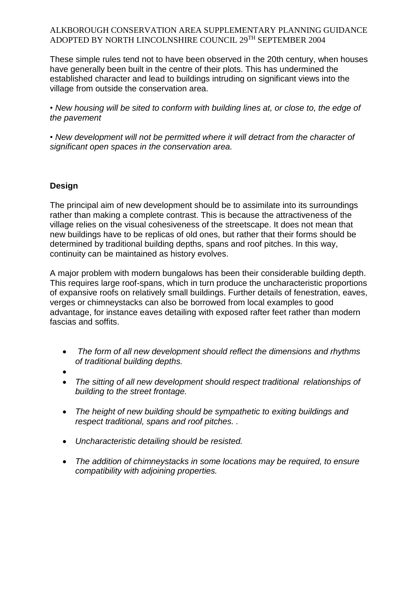These simple rules tend not to have been observed in the 20th century, when houses have generally been built in the centre of their plots. This has undermined the established character and lead to buildings intruding on significant views into the village from outside the conservation area.

• *New housing will be sited to conform with building lines at, or close to, the edge of the pavement*

• *New development will not be permitted where it will detract from the character of significant open spaces in the conservation area.*

# **Design**

The principal aim of new development should be to assimilate into its surroundings rather than making a complete contrast. This is because the attractiveness of the village relies on the visual cohesiveness of the streetscape. It does not mean that new buildings have to be replicas of old ones, but rather that their forms should be determined by traditional building depths, spans and roof pitches. In this way, continuity can be maintained as history evolves.

A major problem with modern bungalows has been their considerable building depth. This requires large roof-spans, which in turn produce the uncharacteristic proportions of expansive roofs on relatively small buildings. Further details of fenestration, eaves, verges or chimneystacks can also be borrowed from local examples to good advantage, for instance eaves detailing with exposed rafter feet rather than modern fascias and soffits.

- *The form of all new development should reflect the dimensions and rhythms of traditional building depths.*
- $\bullet$
- *The sitting of all new development should respect traditional relationships of building to the street frontage.*
- *The height of new building should be sympathetic to exiting buildings and respect traditional, spans and roof pitches. .*
- *Uncharacteristic detailing should be resisted.*
- *The addition of chimneystacks in some locations may be required, to ensure compatibility with adjoining properties.*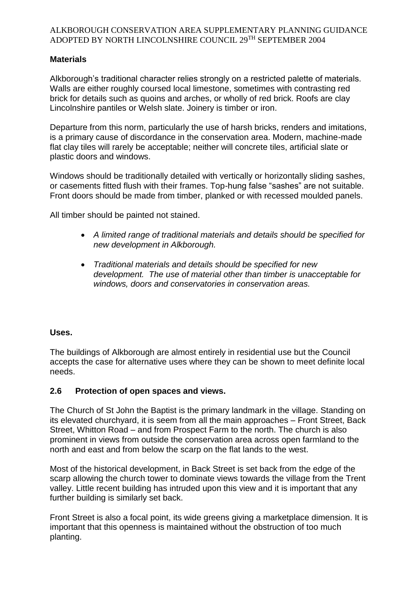# **Materials**

Alkborough's traditional character relies strongly on a restricted palette of materials. Walls are either roughly coursed local limestone, sometimes with contrasting red brick for details such as quoins and arches, or wholly of red brick. Roofs are clay Lincolnshire pantiles or Welsh slate. Joinery is timber or iron.

Departure from this norm, particularly the use of harsh bricks, renders and imitations, is a primary cause of discordance in the conservation area. Modern, machine-made flat clay tiles will rarely be acceptable; neither will concrete tiles, artificial slate or plastic doors and windows.

Windows should be traditionally detailed with vertically or horizontally sliding sashes, or casements fitted flush with their frames. Top-hung false "sashes" are not suitable. Front doors should be made from timber, planked or with recessed moulded panels.

All timber should be painted not stained.

- *A limited range of traditional materials and details should be specified for new development in Alkborough.*
- *Traditional materials and details should be specified for new development. The use of material other than timber is unacceptable for windows, doors and conservatories in conservation areas.*

## **Uses.**

The buildings of Alkborough are almost entirely in residential use but the Council accepts the case for alternative uses where they can be shown to meet definite local needs.

## **2.6 Protection of open spaces and views.**

The Church of St John the Baptist is the primary landmark in the village. Standing on its elevated churchyard, it is seem from all the main approaches – Front Street, Back Street, Whitton Road – and from Prospect Farm to the north. The church is also prominent in views from outside the conservation area across open farmland to the north and east and from below the scarp on the flat lands to the west.

Most of the historical development, in Back Street is set back from the edge of the scarp allowing the church tower to dominate views towards the village from the Trent valley. Little recent building has intruded upon this view and it is important that any further building is similarly set back.

Front Street is also a focal point, its wide greens giving a marketplace dimension. It is important that this openness is maintained without the obstruction of too much planting.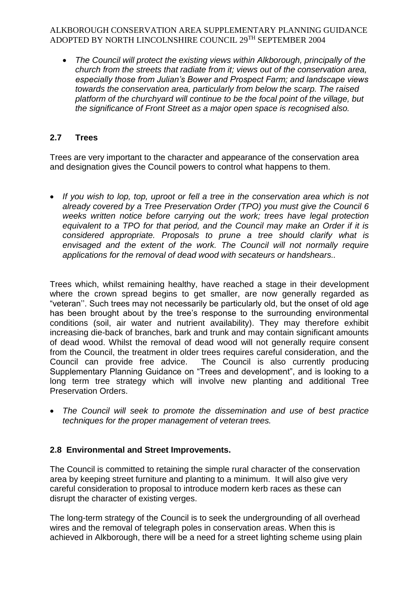*The Council will protect the existing views within Alkborough, principally of the church from the streets that radiate from it; views out of the conservation area, especially those from Julian's Bower and Prospect Farm; and landscape views towards the conservation area, particularly from below the scarp. The raised platform of the churchyard will continue to be the focal point of the village, but the significance of Front Street as a major open space is recognised also.*

# **2.7 Trees**

Trees are very important to the character and appearance of the conservation area and designation gives the Council powers to control what happens to them.

 *If you wish to lop, top, uproot or fell a tree in the conservation area which is not already covered by a Tree Preservation Order (TPO) you must give the Council 6 weeks written notice before carrying out the work; trees have legal protection equivalent to a TPO for that period, and the Council may make an Order if it is considered appropriate. Proposals to prune a tree should clarify what is envisaged and the extent of the work. The Council will not normally require applications for the removal of dead wood with secateurs or handshears..*

Trees which, whilst remaining healthy, have reached a stage in their development where the crown spread begins to get smaller, are now generally regarded as "veteran''. Such trees may not necessarily be particularly old, but the onset of old age has been brought about by the tree's response to the surrounding environmental conditions (soil, air water and nutrient availability). They may therefore exhibit increasing die-back of branches, bark and trunk and may contain significant amounts of dead wood. Whilst the removal of dead wood will not generally require consent from the Council, the treatment in older trees requires careful consideration, and the Council can provide free advice. The Council is also currently producing Supplementary Planning Guidance on "Trees and development", and is looking to a long term tree strategy which will involve new planting and additional Tree Preservation Orders.

 *The Council will seek to promote the dissemination and use of best practice techniques for the proper management of veteran trees.*

# **2.8 Environmental and Street Improvements.**

The Council is committed to retaining the simple rural character of the conservation area by keeping street furniture and planting to a minimum. It will also give very careful consideration to proposal to introduce modern kerb races as these can disrupt the character of existing verges.

The long-term strategy of the Council is to seek the undergrounding of all overhead wires and the removal of telegraph poles in conservation areas. When this is achieved in Alkborough, there will be a need for a street lighting scheme using plain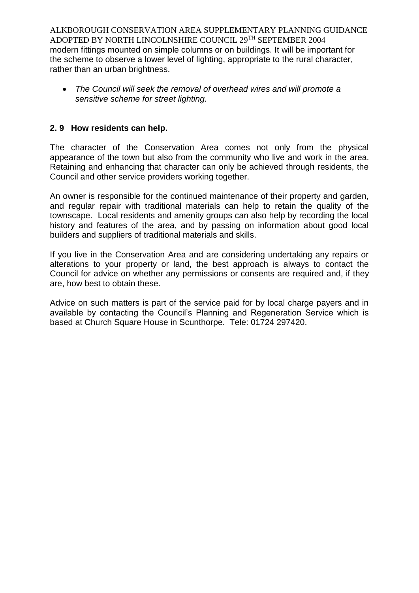ALKBOROUGH CONSERVATION AREA SUPPLEMENTARY PLANNING GUIDANCE ADOPTED BY NORTH LINCOLNSHIRE COUNCIL 29TH SEPTEMBER 2004 modern fittings mounted on simple columns or on buildings. It will be important for the scheme to observe a lower level of lighting, appropriate to the rural character, rather than an urban brightness.

 *The Council will seek the removal of overhead wires and will promote a sensitive scheme for street lighting.*

# **2. 9 How residents can help.**

The character of the Conservation Area comes not only from the physical appearance of the town but also from the community who live and work in the area. Retaining and enhancing that character can only be achieved through residents, the Council and other service providers working together.

An owner is responsible for the continued maintenance of their property and garden, and regular repair with traditional materials can help to retain the quality of the townscape. Local residents and amenity groups can also help by recording the local history and features of the area, and by passing on information about good local builders and suppliers of traditional materials and skills.

If you live in the Conservation Area and are considering undertaking any repairs or alterations to your property or land, the best approach is always to contact the Council for advice on whether any permissions or consents are required and, if they are, how best to obtain these.

Advice on such matters is part of the service paid for by local charge payers and in available by contacting the Council's Planning and Regeneration Service which is based at Church Square House in Scunthorpe. Tele: 01724 297420.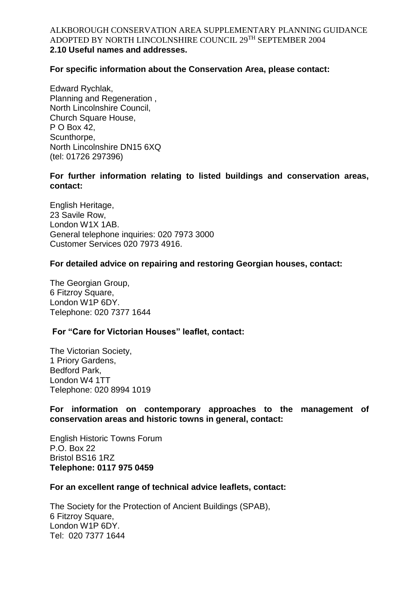#### ALKBOROUGH CONSERVATION AREA SUPPLEMENTARY PLANNING GUIDANCE ADOPTED BY NORTH LINCOLNSHIRE COUNCIL 29TH SEPTEMBER 2004 **2.10 Useful names and addresses.**

## **For specific information about the Conservation Area, please contact:**

Edward Rychlak, Planning and Regeneration , North Lincolnshire Council, Church Square House, P O Box 42, Scunthorpe, North Lincolnshire DN15 6XQ (tel: 01726 297396)

### **For further information relating to listed buildings and conservation areas, contact:**

English Heritage, 23 Savile Row, London W1X 1AB. General telephone inquiries: 020 7973 3000 Customer Services 020 7973 4916.

#### **For detailed advice on repairing and restoring Georgian houses, contact:**

The Georgian Group, 6 Fitzroy Square, London W1P 6DY. Telephone: 020 7377 1644

## **For "Care for Victorian Houses" leaflet, contact:**

The Victorian Society, 1 Priory Gardens, Bedford Park, London W4 1TT Telephone: 020 8994 1019

**For information on contemporary approaches to the management of conservation areas and historic towns in general, contact:**

English Historic Towns Forum P.O. Box 22 Bristol BS16 1RZ **Telephone: 0117 975 0459**

#### **For an excellent range of technical advice leaflets, contact:**

The Society for the Protection of Ancient Buildings (SPAB), 6 Fitzroy Square, London W1P 6DY. Tel: 020 7377 1644